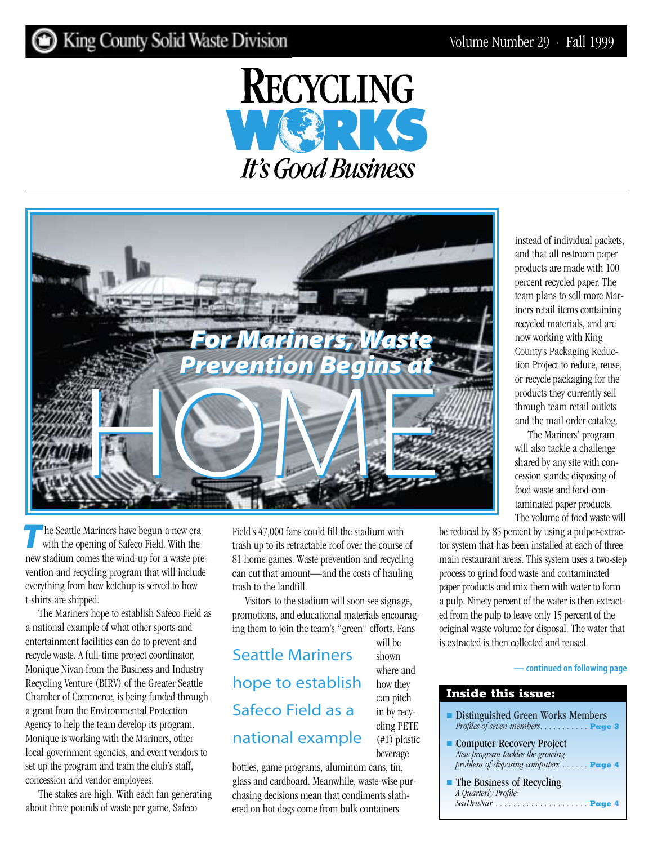# King County Solid Waste Division





**The Seattle Mariners have begun a new era** with the opening of Safeco Field. With the new stadium comes the wind-up for a waste prevention and recycling program that will include everything from how ketchup is served to how t-shirts are shipped.

The Mariners hope to establish Safeco Field as a national example of what other sports and entertainment facilities can do to prevent and recycle waste. A full-time project coordinator, Monique Nivan from the Business and Industry Recycling Venture (BIRV) of the Greater Seattle Chamber of Commerce, is being funded through a grant from the Environmental Protection Agency to help the team develop its program. Monique is working with the Mariners, other local government agencies, and event vendors to set up the program and train the club's staff, concession and vendor employees.

The stakes are high. With each fan generating about three pounds of waste per game, Safeco

Field's 47,000 fans could fill the stadium with trash up to its retractable roof over the course of 81 home games. Waste prevention and recycling can cut that amount—and the costs of hauling trash to the landfill.

Visitors to the stadium will soon see signage, promotions, and educational materials encouraging them to join the team's "green" efforts. Fans

Seattle Mariners hope to establish Safeco Field as a national example

bottles, game programs, aluminum cans, tin, glass and cardboard. Meanwhile, waste-wise purchasing decisions mean that condiments slathered on hot dogs come from bulk containers

will be shown where and how they can pitch in by recycling PETE (#1) plastic beverage

instead of individual packets, and that all restroom paper products are made with 100 percent recycled paper. The team plans to sell more Mariners retail items containing recycled materials, and are now working with King County's Packaging Reduction Project to reduce, reuse, or recycle packaging for the products they currently sell through team retail outlets and the mail order catalog.

The Mariners' program will also tackle a challenge shared by any site with concession stands: disposing of food waste and food-contaminated paper products. The volume of food waste will

be reduced by 85 percent by using a pulper-extractor system that has been installed at each of three main restaurant areas. This system uses a two-step process to grind food waste and contaminated paper products and mix them with water to form a pulp. Ninety percent of the water is then extracted from the pulp to leave only 15 percent of the original waste volume for disposal. The water that is extracted is then collected and reused.

#### **[— continued on following page](#page-1-0)**

| Distinguished Green Works Members<br>Profiles of seven members. <b>Exage 3</b>                           |
|----------------------------------------------------------------------------------------------------------|
| • Computer Recovery Project<br>New program tackles the growing<br>problem of disposing computers  Page 4 |
| $\blacksquare$ The Business of Recycling<br>A Quarterly Profile:                                         |
|                                                                                                          |

**Inside this issue:**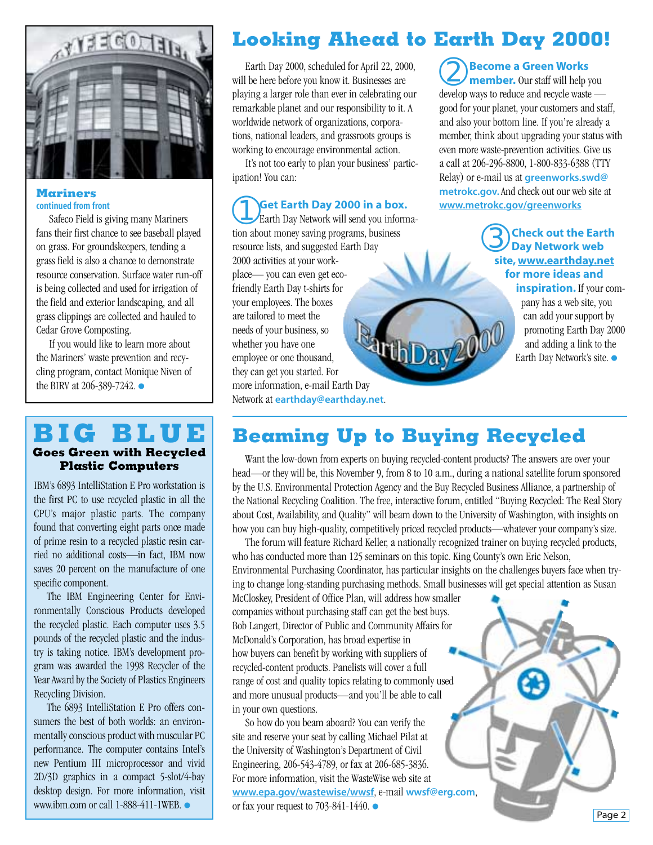<span id="page-1-0"></span>

#### **Mariners continued from front**

Safeco Field is giving many Mariners fans their first chance to see baseball played on grass. For groundskeepers, tending a grass field is also a chance to demonstrate resource conservation. Surface water run-off is being collected and used for irrigation of the field and exterior landscaping, and all grass clippings are collected and hauled to Cedar Grove Composting.

If you would like to learn more about the Mariners' waste prevention and recycling program, contact Monique Niven of the BIRV at 206-389-7242. ●

### **BIG BLUE Goes Green with Recycled Plastic Computers**

IBM's 6893 IntelliStation E Pro workstation is the first PC to use recycled plastic in all the CPU's major plastic parts. The company found that converting eight parts once made of prime resin to a recycled plastic resin carried no additional costs—in fact, IBM now saves 20 percent on the manufacture of one specific component.

The IBM Engineering Center for Environmentally Conscious Products developed the recycled plastic. Each computer uses 3.5 pounds of the recycled plastic and the industry is taking notice. IBM's development program was awarded the 1998 Recycler of the Year Award by the Society of Plastics Engineers Recycling Division.

The 6893 IntelliStation E Pro offers consumers the best of both worlds: an environmentally conscious product with muscular PC performance. The computer contains Intel's new Pentium III microprocessor and vivid 2D/3D graphics in a compact 5-slot/4-bay desktop design. For more information, visit www.ibm.com or call 1-888-411-1WEB. ●

# **Looking Ahead to Earth Day 2000!**

Earth Day 2000, scheduled for April 22, 2000, will be here before you know it. Businesses are playing a larger role than ever in celebrating our remarkable planet and our responsibility to it. A worldwide network of organizations, corporations, national leaders, and grassroots groups is working to encourage environmental action.

It's not too early to plan your business' participation! You can:

➀**Get Earth Day 2000 in a box.** Earth Day Network will send you information about money saving programs, business resource lists, and suggested Earth Day 2000 activities at your workplace— you can even get ecofriendly Earth Day t-shirts for your employees. The boxes are tailored to meet the needs of your business, so thDay<sup>2</sup> whether you have one employee or one thousand, they can get you started. For more information, e-mail Earth Day Network at **earthday@earthday.net**.

➁**Become a Green Works member.** Our staff will help you develop ways to reduce and recycle waste good for your planet, your customers and staff, and also your bottom line. If you're already a member, think about upgrading your status with even more waste-prevention activities. Give us a call at 206-296-8800, 1-800-833-6388 (TTY Relay) or e-mail us at **greenworks.swd@ metrokc.gov.**And check out our web site at **[www.metrokc.gov/greenworks](http://www.metrokc.gov/greenworks)**

> ➂**Check out the Earth Day Network web site, [www.earthday.net](http://www.earthday.net) for more ideas and**

**inspiration.** If your company has a web site, you can add your support by promoting Earth Day 2000 and adding a link to the Earth Day Network's site. ●

### **Beaming Up to Buying Recycled**

Want the low-down from experts on buying recycled-content products? The answers are over your head—or they will be, this November 9, from 8 to 10 a.m., during a national satellite forum sponsored by the U.S. Environmental Protection Agency and the Buy Recycled Business Alliance, a partnership of the National Recycling Coalition. The free, interactive forum, entitled "Buying Recycled: The Real Story about Cost, Availability, and Quality" will beam down to the University of Washington, with insights on how you can buy high-quality, competitively priced recycled products—whatever your company's size.

The forum will feature Richard Keller, a nationally recognized trainer on buying recycled products, who has conducted more than 125 seminars on this topic. King County's own Eric Nelson, Environmental Purchasing Coordinator, has particular insights on the challenges buyers face when trying to change long-standing purchasing methods. Small businesses will get special attention as Susan

McCloskey, President of Office Plan, will address how smaller companies without purchasing staff can get the best buys. Bob Langert, Director of Public and Community Affairs for McDonald's Corporation, has broad expertise in how buyers can benefit by working with suppliers of recycled-content products. Panelists will cover a full range of cost and quality topics relating to commonly used and more unusual products—and you'll be able to call in your own questions.

So how do you beam aboard? You can verify the site and reserve your seat by calling Michael Pilat at the University of Washington's Department of Civil Engineering, 206-543-4789, or fax at 206-685-3836. For more information, visit the WasteWise web site at **[www.epa.gov/wastewise/wwsf](http://www.epa.gov/wastewise/wwsf)**, e-mail **wwsf@erg.com**, or fax your request to 703-841-1440.  $\bullet$ 

Page 2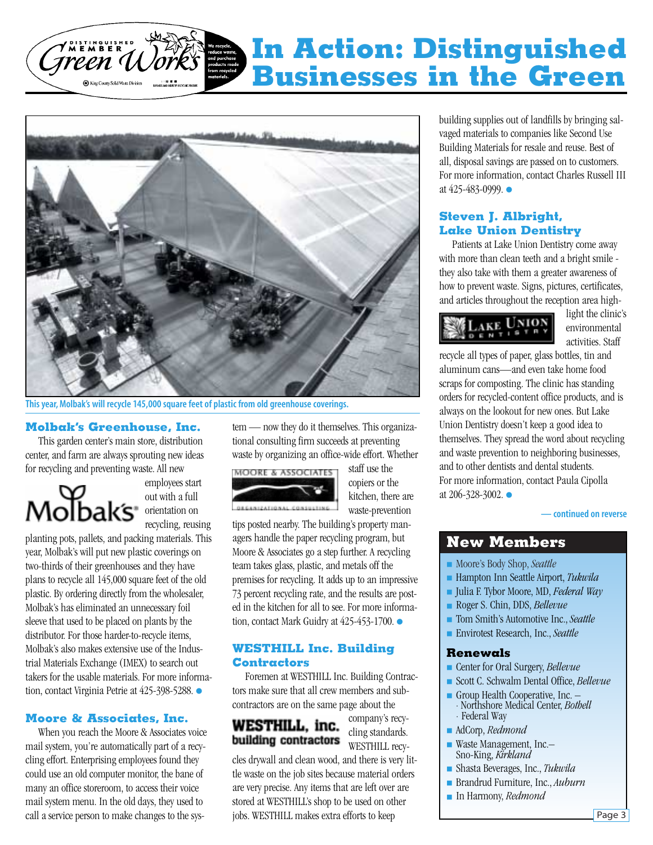### <span id="page-2-0"></span>**THEABER In Action: Distinguished Businesses in the Green**King County Solid Waste Division



**This year, Molbak's will recycle 145,000 square feet of plastic from old greenhouse coverings.**

### **Molbak's Greenhouse, Inc.**

This garden center's main store, distribution center, and farm are always sprouting new ideas for recycling and preventing waste. All new

Molbak's orientation on

employees start out with a full recycling, reusing

planting pots, pallets, and packing materials. This year, Molbak's will put new plastic coverings on two-thirds of their greenhouses and they have plans to recycle all 145,000 square feet of the old plastic. By ordering directly from the wholesaler, Molbak's has eliminated an unnecessary foil sleeve that used to be placed on plants by the distributor. For those harder-to-recycle items, Molbak's also makes extensive use of the Industrial Materials Exchange (IMEX) to search out takers for the usable materials. For more information, contact Virginia Petrie at 425-398-5288. ●

### **Moore & Associates, Inc.**

When you reach the Moore & Associates voice mail system, you're automatically part of a recycling effort. Enterprising employees found they could use an old computer monitor, the bane of many an office storeroom, to access their voice mail system menu. In the old days, they used to call a service person to make changes to the system — now they do it themselves. This organizational consulting firm succeeds at preventing waste by organizing an office-wide effort. Whether



staff use the copiers or the kitchen, there are waste-prevention

tips posted nearby. The building's property managers handle the paper recycling program, but Moore & Associates go a step further. A recycling team takes glass, plastic, and metals off the premises for recycling. It adds up to an impressive 73 percent recycling rate, and the results are posted in the kitchen for all to see. For more information, contact Mark Guidry at 425-453-1700. ●

### **WESTHILL Inc. Building Contractors**

Foremen at WESTHILL Inc. Building Contractors make sure that all crew members and subcontractors are on the same page about the

WESTHILL, inc. building contractors

company's recycling standards. WESTHILL recy-

cles drywall and clean wood, and there is very little waste on the job sites because material orders are very precise. Any items that are left over are stored at WESTHILL's shop to be used on other jobs. WESTHILL makes extra efforts to keep

building supplies out of landfills by bringing salvaged materials to companies like Second Use Building Materials for resale and reuse. Best of all, disposal savings are passed on to customers. For more information, contact Charles Russell III at 425-483-0999. ●

### **Steven J. Albright, Lake Union Dentistry**

Patients at Lake Union Dentistry come away with more than clean teeth and a bright smile they also take with them a greater awareness of how to prevent waste. Signs, pictures, certificates, and articles throughout the reception area high-



light the clinic's environmental activities. Staff

recycle all types of paper, glass bottles, tin and aluminum cans—and even take home food scraps for composting. The clinic has standing orders for recycled-content office products, and is always on the lookout for new ones. But Lake Union Dentistry doesn't keep a good idea to themselves. They spread the word about recycling and waste prevention to neighboring businesses, and to other dentists and dental students. For more information, contact Paula Cipolla at 206-328-3002. ●

**[— continued on reverse](#page-4-0)**

### **New Members**

- Moore's Body Shop, *Seattle*
- Hampton Inn Seattle Airport, *Tukwila*
- Julia F. Tybor Moore, MD, *Federal Way*
- Roger S. Chin, DDS, *Bellevue*
- Tom Smith's Automotive Inc., *Seattle*
- Envirotest Research, Inc., *Seattle*

#### **Renewals**

- Center for Oral Surgery, *Bellevue*
- Scott C. Schwalm Dental Office, *Bellevue*
- Group Health Cooperative, Inc. · Northshore Medical Center, *Bothell ·* Federal Way
- AdCorp, *Redmond*
- Waste Management, Inc.-Sno-King, *Kirkland*
- Shasta Beverages, Inc., *Tukwila*
- Brandrud Furniture, Inc., *Auburn*
- In Harmony, *Redmond*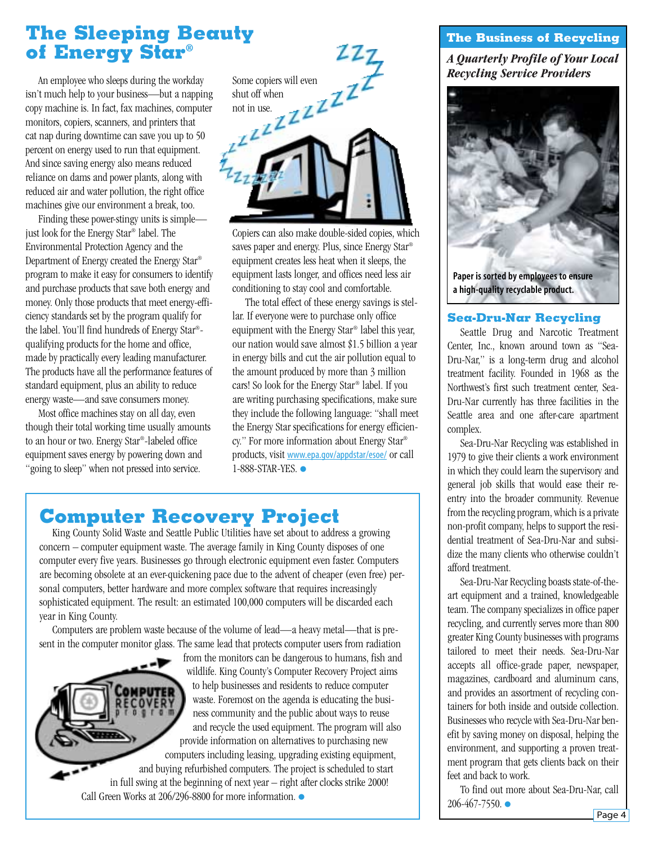### <span id="page-3-0"></span>**The Sleeping Beauty of Energy Star®**

An employee who sleeps during the workday isn't much help to your business—but a napping copy machine is. In fact, fax machines, computer monitors, copiers, scanners, and printers that cat nap during downtime can save you up to 50 percent on energy used to run that equipment. And since saving energy also means reduced reliance on dams and power plants, along with reduced air and water pollution, the right office machines give our environment a break, too.

Finding these power-stingy units is simple just look for the Energy Star® label. The Environmental Protection Agency and the Department of Energy created the Energy Star® program to make it easy for consumers to identify and purchase products that save both energy and money. Only those products that meet energy-efficiency standards set by the program qualify for the label. You'll find hundreds of Energy Star® qualifying products for the home and office, made by practically every leading manufacturer. The products have all the performance features of standard equipment, plus an ability to reduce energy waste—and save consumers money.

Most office machines stay on all day, even though their total working time usually amounts to an hour or two. Energy Star®-labeled office equipment saves energy by powering down and "going to sleep" when not pressed into service.



Copiers can also make double-sided copies, which saves paper and energy. Plus, since Energy Star® equipment creates less heat when it sleeps, the equipment lasts longer, and offices need less air conditioning to stay cool and comfortable.

The total effect of these energy savings is stellar. If everyone were to purchase only office equipment with the Energy Star® label this year, our nation would save almost \$1.5 billion a year in energy bills and cut the air pollution equal to the amount produced by more than 3 million cars! So look for the Energy Star® label. If you are writing purchasing specifications, make sure they include the following language: "shall meet the Energy Star specifications for energy efficiency." For more information about Energy Star® products, visit [www.epa.gov/appdstar/esoe/](http://www.epa.gov/appdstar/esoe/) or call 1-888-STAR-YES. ●

# **Computer Recovery Project**

King County Solid Waste and Seattle Public Utilities have set about to address a growing concern – computer equipment waste. The average family in King County disposes of one computer every five years. Businesses go through electronic equipment even faster. Computers are becoming obsolete at an ever-quickening pace due to the advent of cheaper (even free) personal computers, better hardware and more complex software that requires increasingly sophisticated equipment. The result: an estimated 100,000 computers will be discarded each year in King County.

Computers are problem waste because of the volume of lead—a heavy metal—that is present in the computer monitor glass. The same lead that protects computer users from radiation

> from the monitors can be dangerous to humans, fish and wildlife. King County's Computer Recovery Project aims to help businesses and residents to reduce computer waste. Foremost on the agenda is educating the business community and the public about ways to reuse and recycle the used equipment. The program will also provide information on alternatives to purchasing new computers including leasing, upgrading existing equipment,

and buying refurbished computers. The project is scheduled to start in full swing at the beginning of next year – right after clocks strike 2000! Call Green Works at 206/296-8800 for more information. ●

### **The Business of Recycling**

*A Quarterly Profile of Your Local Recycling Service Providers*



### **Sea-Dru-Nar Recycling**

Seattle Drug and Narcotic Treatment Center, Inc., known around town as "Sea-Dru-Nar," is a long-term drug and alcohol treatment facility. Founded in 1968 as the Northwest's first such treatment center, Sea-Dru-Nar currently has three facilities in the Seattle area and one after-care apartment complex.

Sea-Dru-Nar Recycling was established in 1979 to give their clients a work environment in which they could learn the supervisory and general job skills that would ease their reentry into the broader community. Revenue from the recycling program, which is a private non-profit company, helps to support the residential treatment of Sea-Dru-Nar and subsidize the many clients who otherwise couldn't afford treatment.

Sea-Dru-Nar Recycling boasts state-of-theart equipment and a trained, knowledgeable team. The company specializes in office paper recycling, and currently serves more than 800 greater King County businesses with programs tailored to meet their needs. Sea-Dru-Nar accepts all office-grade paper, newspaper, magazines, cardboard and aluminum cans, and provides an assortment of recycling containers for both inside and outside collection. Businesses who recycle with Sea-Dru-Nar benefit by saving money on disposal, helping the environment, and supporting a proven treatment program that gets clients back on their feet and back to work.

To find out more about Sea-Dru-Nar, call 206-467-7550. ●

Page 4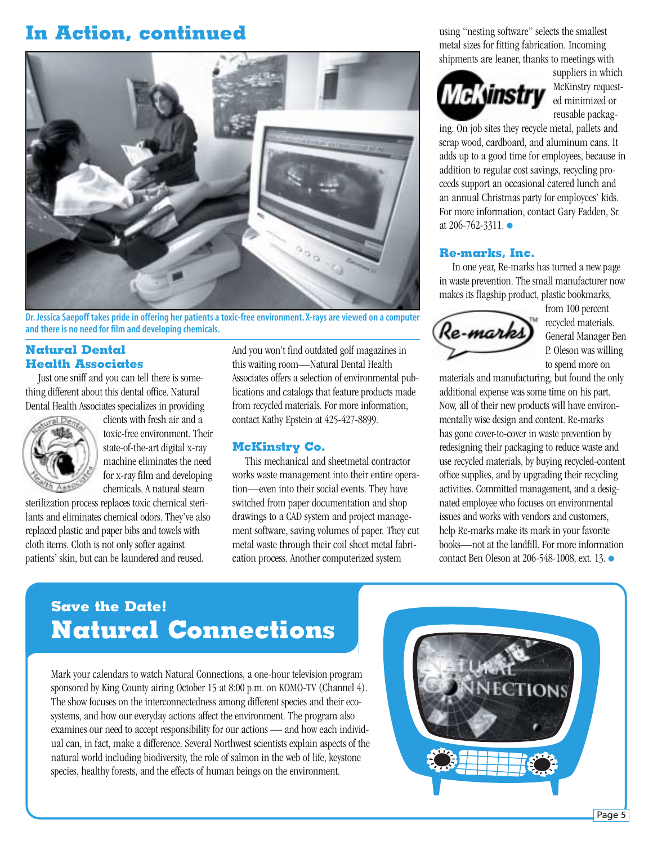### <span id="page-4-0"></span>**In Action, continued**



**Dr. Jessica Saepoff takes pride in offering her patients a toxic-free environment. X-rays are viewed on a computer and there is no need for film and developing chemicals.**

### **Natural Dental Health Associates**

Just one sniff and you can tell there is something different about this dental office. Natural Dental Health Associates specializes in providing



clients with fresh air and a toxic-free environment. Their state-of-the-art digital x-ray machine eliminates the need for x-ray film and developing chemicals. A natural steam

sterilization process replaces toxic chemical sterilants and eliminates chemical odors. They've also replaced plastic and paper bibs and towels with cloth items. Cloth is not only softer against patients' skin, but can be laundered and reused.

And you won't find outdated golf magazines in this waiting room—Natural Dental Health Associates offers a selection of environmental publications and catalogs that feature products made from recycled materials. For more information, contact Kathy Epstein at 425-427-8899.

#### **McKinstry Co.**

This mechanical and sheetmetal contractor works waste management into their entire operation—even into their social events. They have switched from paper documentation and shop drawings to a CAD system and project management software, saving volumes of paper. They cut metal waste through their coil sheet metal fabrication process. Another computerized system

using "nesting software" selects the smallest metal sizes for fitting fabrication. Incoming shipments are leaner, thanks to meetings with

# **McKyinstry**

suppliers in which McKinstry requested minimized or reusable packag-

ing. On job sites they recycle metal, pallets and scrap wood, cardboard, and aluminum cans. It adds up to a good time for employees, because in addition to regular cost savings, recycling proceeds support an occasional catered lunch and an annual Christmas party for employees' kids. For more information, contact Gary Fadden, Sr. at 206-762-3311. ●

#### **Re-marks, Inc.**

In one year, Re-marks has turned a new page in waste prevention. The small manufacturer now makes its flagship product, plastic bookmarks,



from 100 percent recycled materials. General Manager Ben P. Oleson was willing to spend more on

materials and manufacturing, but found the only additional expense was some time on his part. Now, all of their new products will have environmentally wise design and content. Re-marks has gone cover-to-cover in waste prevention by redesigning their packaging to reduce waste and use recycled materials, by buying recycled-content office supplies, and by upgrading their recycling activities. Committed management, and a designated employee who focuses on environmental issues and works with vendors and customers, help Re-marks make its mark in your favorite books—not at the landfill. For more information contact Ben Oleson at 206-548-1008, ext. 13. ●

### **Save the Date! Natural Connections**

Mark your calendars to watch Natural Connections, a one-hour television program sponsored by King County airing October 15 at 8:00 p.m. on KOMO-TV (Channel 4). The show focuses on the interconnectedness among different species and their ecosystems, and how our everyday actions affect the environment. The program also examines our need to accept responsibility for our actions — and how each individual can, in fact, make a difference. Several Northwest scientists explain aspects of the natural world including biodiversity, the role of salmon in the web of life, keystone species, healthy forests, and the effects of human beings on the environment.